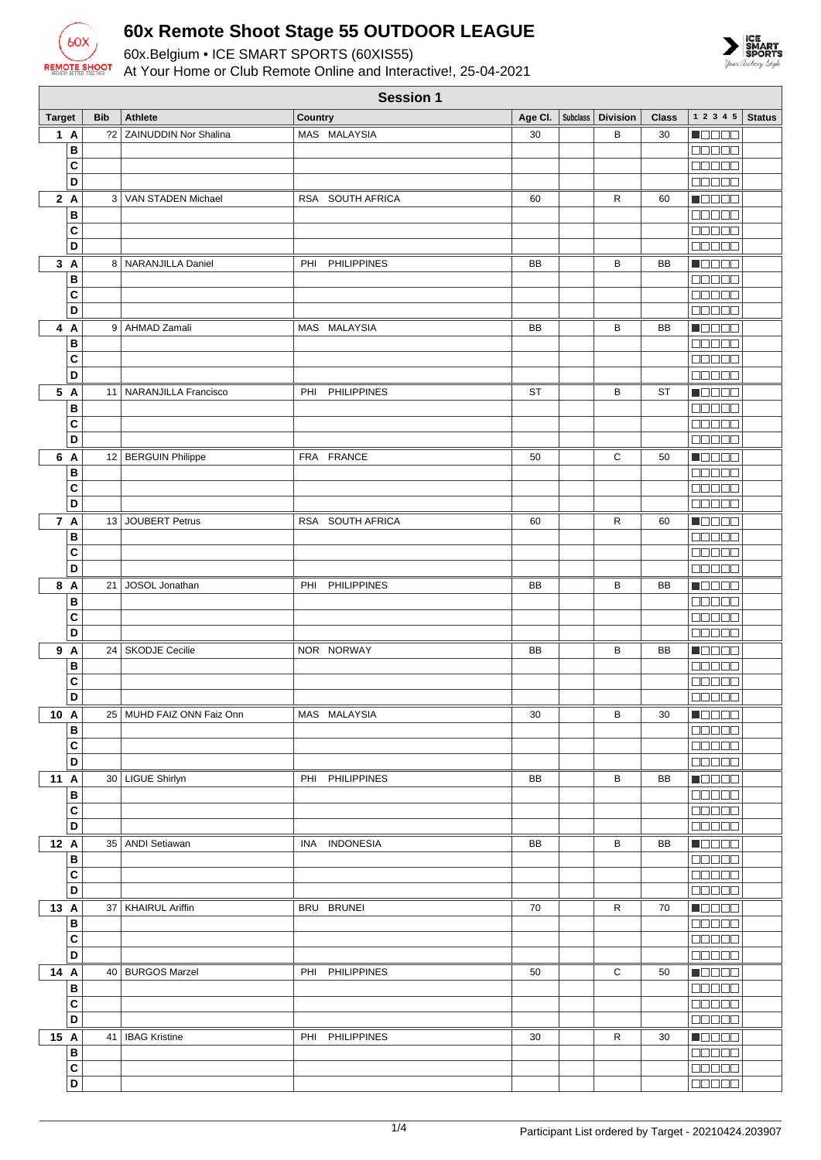

## **60x Remote Shoot Stage 55 OUTDOOR LEAGUE**

60x.Belgium • ICE SMART SPORTS (60XIS55) At Your Home or Club Remote Online and Interactive!, 25-04-2021



|               | <b>Session 1</b> |    |                              |                           |           |  |                               |              |                                                             |
|---------------|------------------|----|------------------------------|---------------------------|-----------|--|-------------------------------|--------------|-------------------------------------------------------------|
| <b>Target</b> | <b>Bib</b>       |    | <b>Athlete</b>               | Country                   |           |  | Age CI.   Subclass   Division | <b>Class</b> | 1 2 3 4 5<br><b>Status</b>                                  |
| 1A            |                  | 22 | <b>ZAINUDDIN Nor Shalina</b> | MAS MALAYSIA              | 30        |  | В                             | 30           | <u>i de se</u>                                              |
|               | В                |    |                              |                           |           |  |                               |              | 00000                                                       |
|               | C                |    |                              |                           |           |  |                               |              | 88888                                                       |
|               | D                |    |                              |                           |           |  |                               |              | <b>NODOO</b>                                                |
| 2A            | В                |    | 3   VAN STADEN Michael       | RSA SOUTH AFRICA          | 60        |  | R                             | 60           | N O O O O<br>88888                                          |
|               | C                |    |                              |                           |           |  |                               |              | 88888                                                       |
|               | D                |    |                              |                           |           |  |                               |              | manaa                                                       |
| 3A            |                  |    | 8 NARANJILLA Daniel          | PHI PHILIPPINES           | BB        |  | В                             | BB           | Manaa                                                       |
|               | В                |    |                              |                           |           |  |                               |              | 80000                                                       |
|               | C                |    |                              |                           |           |  |                               |              | 88888                                                       |
|               | D                |    |                              |                           |           |  |                               |              | 88888                                                       |
| 4 A           |                  |    | 9 AHMAD Zamali               | MAS MALAYSIA              | BB        |  | в                             | BB           | <b>H</b> ebec                                               |
|               | B                |    |                              |                           |           |  |                               |              | Ma a a a                                                    |
|               | C<br>D           |    |                              |                           |           |  |                               |              | 00000<br>00000                                              |
| 5 A           |                  | 11 | NARANJILLA Francisco         | <b>PHILIPPINES</b><br>PHI | <b>ST</b> |  | В                             | <b>ST</b>    | <b>M</b> OOOC                                               |
|               | B                |    |                              |                           |           |  |                               |              | 00000                                                       |
|               | C                |    |                              |                           |           |  |                               |              | 88888                                                       |
|               | D                |    |                              |                           |           |  |                               |              | 88888                                                       |
| 6 A           |                  |    | 12 BERGUIN Philippe          | FRA FRANCE                | 50        |  | С                             | 50           | $\blacksquare$                                              |
|               | В                |    |                              |                           |           |  |                               |              | 00000                                                       |
|               | C                |    |                              |                           |           |  |                               |              | 00000                                                       |
|               | D                |    |                              |                           |           |  |                               |              | nnoon                                                       |
| 7 A           | В                | 13 | JOUBERT Petrus               | RSA SOUTH AFRICA          | 60        |  | R                             | 60           | Maaaa<br>00000                                              |
|               | C                |    |                              |                           |           |  |                               |              | 00000                                                       |
|               | D                |    |                              |                           |           |  |                               |              | 88888                                                       |
| 8 A           |                  | 21 | JOSOL Jonathan               | PHI PHILIPPINES           | BB        |  | В                             | BB           | Maaaa                                                       |
|               | В                |    |                              |                           |           |  |                               |              | 80000                                                       |
|               | C                |    |                              |                           |           |  |                               |              | 88888                                                       |
|               | D                |    |                              |                           |           |  |                               |              | <b>00000</b>                                                |
| 9 A           |                  | 24 | <b>SKODJE Cecilie</b>        | NOR NORWAY                | BB        |  | в                             | BB           | $\blacksquare$ $\square$ $\square$ $\square$                |
|               | В<br>C           |    |                              |                           |           |  |                               |              | <b>REBEE</b><br><b>00000</b>                                |
|               | D                |    |                              |                           |           |  |                               |              | 88888                                                       |
| 10 A          |                  |    | 25   MUHD FAIZ ONN Faiz Onn  | MAS MALAYSIA              | 30        |  | в                             | 30           | <b>Manaa</b>                                                |
|               | B                |    |                              |                           |           |  |                               |              | 88888                                                       |
|               | C                |    |                              |                           |           |  |                               |              | <b>BBBBB</b>                                                |
|               | D                |    |                              |                           |           |  |                               |              | $\Box \Box \Box \Box \Box$                                  |
| 11 A          |                  |    | 30   LIGUE Shirlyn           | PHI PHILIPPINES           | BB        |  | В                             | BB           | <b>Mana</b>                                                 |
|               | B                |    |                              |                           |           |  |                               |              | 00000                                                       |
|               | C<br>D           |    |                              |                           |           |  |                               |              | <b>BELLE</b>                                                |
| 12 A          |                  |    | 35   ANDI Setiawan           | INA INDONESIA             | BB        |  | в                             | BB           | Maaaa                                                       |
|               | B                |    |                              |                           |           |  |                               |              | $\Box \Box \Box \Box \Box$                                  |
|               | C                |    |                              |                           |           |  |                               |              | <b>BBBBB</b>                                                |
|               | D                |    |                              |                           |           |  |                               |              | $\Box$                                                      |
| 13 A          |                  |    | 37   KHAIRUL Ariffin         | BRU BRUNEI                | 70        |  | R                             | 70           | $\blacksquare$ $\square$ $\square$ $\blacksquare$           |
|               | В                |    |                              |                           |           |  |                               |              | $\Box \Box \Box \Box \Box$                                  |
|               | C<br>D           |    |                              |                           |           |  |                               |              | 00000                                                       |
| 14 A          |                  |    | 40   BURGOS Marzel           | PHI PHILIPPINES           | 50        |  | С                             | 50           | 88888<br><b>N</b> OOOO                                      |
|               | В                |    |                              |                           |           |  |                               |              | 00000                                                       |
|               | С                |    |                              |                           |           |  |                               |              | <b>BEBEE</b>                                                |
|               | D                |    |                              |                           |           |  |                               |              | <b>BEBEE</b>                                                |
| 15 A          |                  | 41 | <b>IBAG Kristine</b>         | PHI PHILIPPINES           | 30        |  | R                             | 30           | $\blacksquare$ $\blacksquare$ $\blacksquare$ $\blacksquare$ |
|               | В                |    |                              |                           |           |  |                               |              | <b>BBBBB</b>                                                |
|               | $\mathbf{C}$     |    |                              |                           |           |  |                               |              | <b>00000</b>                                                |
|               | D                |    |                              |                           |           |  |                               |              | 00000                                                       |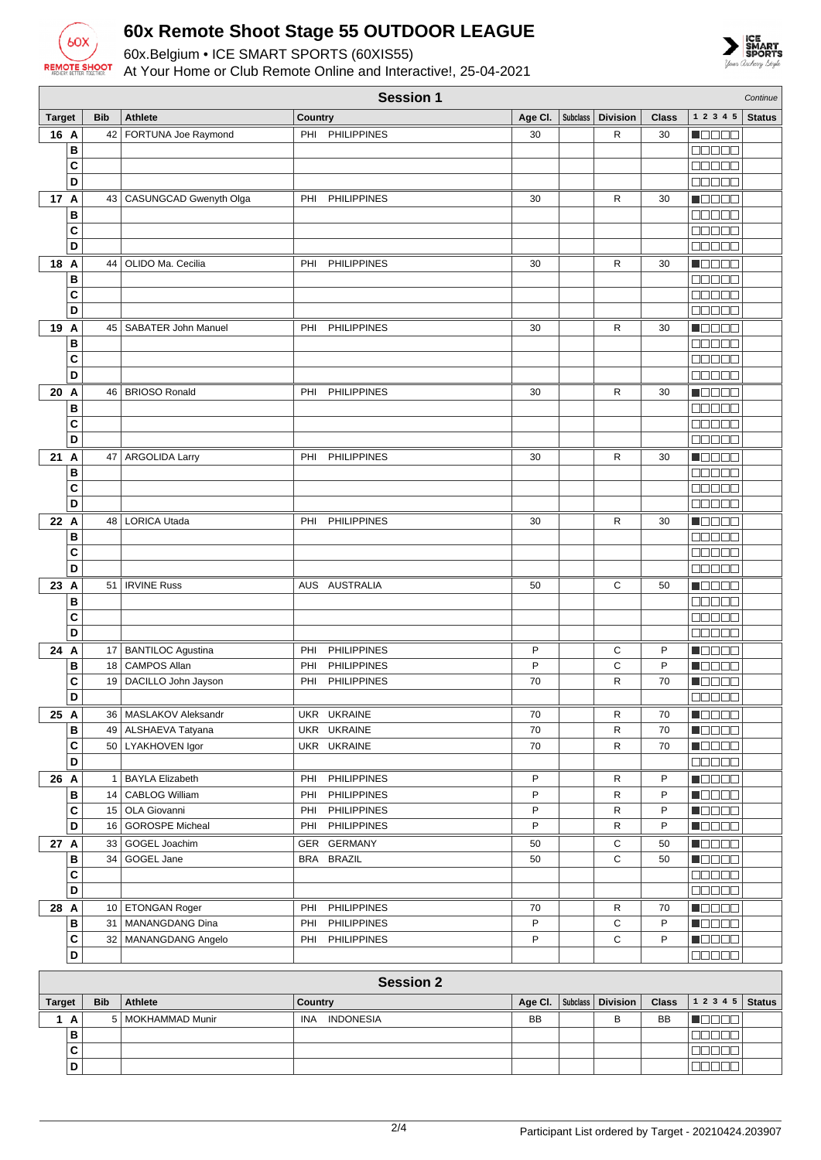

## **60x Remote Shoot Stage 55 OUTDOOR LEAGUE**

60x.Belgium • ICE SMART SPORTS (60XIS55)



At Your Home or Club Remote Online and Interactive!, 25-04-2021

| <b>Session 1</b><br>Continue                                                                                                                            |                         |    |                             |                |                    |         |                 |                 |              |                                                             |               |
|---------------------------------------------------------------------------------------------------------------------------------------------------------|-------------------------|----|-----------------------------|----------------|--------------------|---------|-----------------|-----------------|--------------|-------------------------------------------------------------|---------------|
| <b>Target</b>                                                                                                                                           | <b>Bib</b>              |    | <b>Athlete</b>              | <b>Country</b> |                    | Age Cl. | <b>Subclass</b> | <b>Division</b> | <b>Class</b> | 1 2 3 4 5                                                   | <b>Status</b> |
| 16 A                                                                                                                                                    |                         | 42 | FORTUNA Joe Raymond         | PHI            | <b>PHILIPPINES</b> | 30      |                 | R               | 30           | N DE E E                                                    |               |
|                                                                                                                                                         | B                       |    |                             |                |                    |         |                 |                 |              | an a sa                                                     |               |
| C                                                                                                                                                       |                         |    |                             |                |                    |         |                 |                 |              | MAN MA                                                      |               |
|                                                                                                                                                         | D                       |    |                             |                |                    |         |                 |                 |              | <b>00000</b>                                                |               |
| 17 A                                                                                                                                                    |                         |    | 43   CASUNGCAD Gwenyth Olga | PHI            | <b>PHILIPPINES</b> | 30      |                 | R               | 30           | n da da                                                     |               |
| B                                                                                                                                                       |                         |    |                             |                |                    |         |                 |                 |              | 00000                                                       |               |
|                                                                                                                                                         | C                       |    |                             |                |                    |         |                 |                 |              | 00000                                                       |               |
|                                                                                                                                                         | D                       |    |                             |                |                    |         |                 |                 |              | <b>00000</b>                                                |               |
| 18<br>A                                                                                                                                                 |                         |    | OLIDO Ma. Cecilia           | PHI            | <b>PHILIPPINES</b> |         |                 | R               |              |                                                             |               |
|                                                                                                                                                         |                         | 44 |                             |                |                    | 30      |                 |                 | 30           | M E E E E                                                   |               |
|                                                                                                                                                         | B                       |    |                             |                |                    |         |                 |                 |              | 00000                                                       |               |
|                                                                                                                                                         | C                       |    |                             |                |                    |         |                 |                 |              | <b>OOOOO</b>                                                |               |
|                                                                                                                                                         | D                       |    |                             |                |                    |         |                 |                 |              | <b>00000</b>                                                |               |
| 19<br>A                                                                                                                                                 |                         |    | 45   SABATER John Manuel    | PHI            | <b>PHILIPPINES</b> | 30      |                 | R               | 30           | Maaaa                                                       |               |
|                                                                                                                                                         | В                       |    |                             |                |                    |         |                 |                 |              | eeeee                                                       |               |
| C                                                                                                                                                       |                         |    |                             |                |                    |         |                 |                 |              | 00000                                                       |               |
|                                                                                                                                                         | D                       |    |                             |                |                    |         |                 |                 |              | 00000                                                       |               |
| 20<br>A                                                                                                                                                 |                         | 46 | <b>BRIOSO Ronald</b>        | PHI            | <b>PHILIPPINES</b> | 30      |                 | R               | 30           | n oo oo                                                     |               |
|                                                                                                                                                         | В                       |    |                             |                |                    |         |                 |                 |              | 00000                                                       |               |
|                                                                                                                                                         | C                       |    |                             |                |                    |         |                 |                 |              | 00000                                                       |               |
|                                                                                                                                                         | D                       |    |                             |                |                    |         |                 |                 |              | <b>NUUUU</b>                                                |               |
| 21<br>A                                                                                                                                                 |                         | 47 | <b>ARGOLIDA Larry</b>       | PHI            | <b>PHILIPPINES</b> | 30      |                 | R               | 30           | $\blacksquare$                                              |               |
|                                                                                                                                                         | B                       |    |                             |                |                    |         |                 |                 |              | <b>OOOOO</b>                                                |               |
| C                                                                                                                                                       |                         |    |                             |                |                    |         |                 |                 |              | <b>MANA A</b>                                               |               |
|                                                                                                                                                         | D                       |    |                             |                |                    |         |                 |                 |              | 00000                                                       |               |
| 22 A                                                                                                                                                    |                         | 48 | <b>LORICA Utada</b>         | PHI            | <b>PHILIPPINES</b> | 30      |                 | R               | 30           | n Els Els                                                   |               |
| В                                                                                                                                                       |                         |    |                             |                |                    |         |                 |                 |              | 00000                                                       |               |
|                                                                                                                                                         | C                       |    |                             |                |                    |         |                 |                 |              | an da s                                                     |               |
|                                                                                                                                                         | D                       |    |                             |                |                    |         |                 |                 |              | $\Box \Box \Box \Box \Box$                                  |               |
|                                                                                                                                                         |                         |    |                             |                |                    |         |                 |                 |              |                                                             |               |
| 23 A                                                                                                                                                    |                         | 51 | <b>IRVINE Russ</b>          |                | AUS AUSTRALIA      | 50      |                 | C               | 50           | M E E E E                                                   |               |
|                                                                                                                                                         | B                       |    |                             |                |                    |         |                 |                 |              | 00000                                                       |               |
| C                                                                                                                                                       |                         |    |                             |                |                    |         |                 |                 |              | $\Box$ $\Box$ $\Box$ $\Box$ $\Box$                          |               |
|                                                                                                                                                         | D                       |    |                             |                |                    |         |                 |                 |              | 00000                                                       |               |
| 24 A                                                                                                                                                    |                         |    | 17 BANTILOC Agustina        | PHI            | <b>PHILIPPINES</b> | P       |                 | С               | P            | MOOOO                                                       |               |
|                                                                                                                                                         | В                       | 18 | <b>CAMPOS Allan</b>         | PHI            | <b>PHILIPPINES</b> | P       |                 | С               | P            | Maaaa                                                       |               |
|                                                                                                                                                         | C                       | 19 | DACILLO John Jayson         | PHI            | <b>PHILIPPINES</b> | 70      |                 | R               | 70           | M W W W W                                                   |               |
|                                                                                                                                                         | D                       |    |                             |                |                    |         |                 |                 |              | 88888                                                       |               |
| 25 A                                                                                                                                                    |                         |    | 36   MASLAKOV Aleksandr     |                | UKR UKRAINE        | 70      |                 | R               | 70           | <u> Nacional de la I</u>                                    |               |
|                                                                                                                                                         | в                       |    | 49   ALSHAEVA Tatyana       |                | UKR UKRAINE        | 70      |                 | R               | 70           | <b>MOOOO</b>                                                |               |
|                                                                                                                                                         | С                       |    | 50   LYAKHOVEN Igor         |                | UKR UKRAINE        | 70      |                 | R               | 70           | <b>Rece</b>                                                 |               |
|                                                                                                                                                         | D                       |    |                             |                |                    |         |                 |                 |              | <b>ROBBO</b>                                                |               |
| 26 A                                                                                                                                                    |                         |    | 1   BAYLA Elizabeth         | PHI            | <b>PHILIPPINES</b> | P       |                 | R               | P            | Maaaa                                                       |               |
|                                                                                                                                                         | В                       |    | 14   CABLOG William         | PHI            | <b>PHILIPPINES</b> | P       |                 | R               | P            | <b>HEEEE</b>                                                |               |
|                                                                                                                                                         | C                       |    | 15 OLA Giovanni             | PHI            | <b>PHILIPPINES</b> | P       |                 | R               | P            | $\blacksquare$ $\square$ $\square$ $\square$                |               |
|                                                                                                                                                         | D                       |    | 16   GOROSPE Micheal        | PHI            | <b>PHILIPPINES</b> | P       |                 | R               | P            | $\blacksquare$ $\blacksquare$ $\blacksquare$                |               |
| 27 A                                                                                                                                                    |                         |    | 33 GOGEL Joachim            |                | GER GERMANY        | 50      |                 | С               | 50           | <b>H</b> oodo                                               |               |
|                                                                                                                                                         | в                       |    | 34 GOGEL Jane               |                | BRA BRAZIL         | 50      |                 | C               | 50           | <b>Reces</b>                                                |               |
|                                                                                                                                                         | C                       |    |                             |                |                    |         |                 |                 |              | 00000                                                       |               |
|                                                                                                                                                         | D                       |    |                             |                |                    |         |                 |                 |              | <b>00000</b>                                                |               |
| 28 A                                                                                                                                                    |                         |    | 10 ETONGAN Roger            | PHI            | <b>PHILIPPINES</b> | 70      |                 | R               | 70           | $\blacksquare$ $\square$ $\square$ $\square$                |               |
|                                                                                                                                                         | в                       |    | 31   MANANGDANG Dina        | PHI            | <b>PHILIPPINES</b> | P       |                 | С               | P            | $\blacksquare$ $\square$ $\square$ $\square$                |               |
|                                                                                                                                                         | C                       |    | 32   MANANGDANG Angelo      |                | PHI PHILIPPINES    | P       |                 | С               | P            | <b>Reces</b>                                                |               |
|                                                                                                                                                         | D                       |    |                             |                |                    |         |                 |                 |              | 00000                                                       |               |
|                                                                                                                                                         |                         |    |                             |                |                    |         |                 |                 |              |                                                             |               |
|                                                                                                                                                         |                         |    |                             |                | <b>Session 2</b>   |         |                 |                 |              |                                                             |               |
| <b>Division</b><br>1 2 3 4 5<br><b>Target</b><br><b>Bib</b><br><b>Athlete</b><br>Age Cl.<br><b>Subclass</b><br><b>Class</b><br><b>Status</b><br>Country |                         |    |                             |                |                    |         |                 |                 |              |                                                             |               |
|                                                                                                                                                         |                         |    |                             |                |                    |         |                 |                 |              |                                                             |               |
| 1 A                                                                                                                                                     |                         |    | 5   MOKHAMMAD Munir         |                | INA INDONESIA      | BB      |                 | В               | BB           | $\blacksquare$ $\blacksquare$ $\blacksquare$ $\blacksquare$ |               |
|                                                                                                                                                         | B                       |    |                             |                |                    |         |                 |                 |              | 00000                                                       |               |
|                                                                                                                                                         | $\mathbf{C}$            |    |                             |                |                    |         |                 |                 |              | <b>00000</b>                                                |               |
|                                                                                                                                                         | $\overline{\mathsf{D}}$ |    |                             |                |                    |         |                 |                 |              | 00000                                                       |               |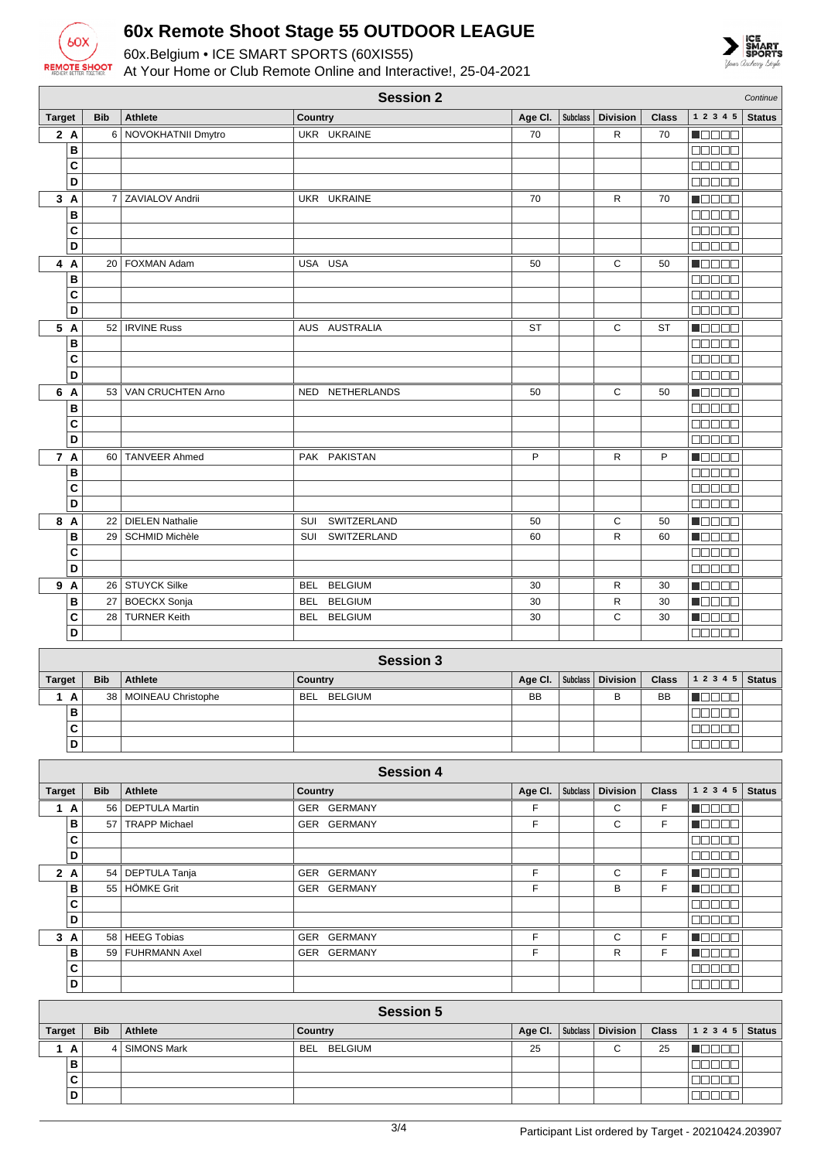

**D**

## **60x Remote Shoot Stage 55 OUTDOOR LEAGUE**

60x.Belgium • ICE SMART SPORTS (60XIS55) At Your Home or Club Remote Online and Interactive!, 25-04-2021



|                  |                |                        | <b>Session 2</b>             |           |                 |                 |              |                                    | Continue      |
|------------------|----------------|------------------------|------------------------------|-----------|-----------------|-----------------|--------------|------------------------------------|---------------|
| <b>Target</b>    | <b>Bib</b>     | <b>Athlete</b>         | Country                      | Age CI.   | <b>Subclass</b> | <b>Division</b> | <b>Class</b> | 1 2 3 4 5                          | <b>Status</b> |
| 2A               | 6              | NOVOKHATNII Dmytro     | UKR UKRAINE                  | 70        |                 | $\mathsf{R}$    | 70           | N E E E E                          |               |
| B                |                |                        |                              |           |                 |                 |              | <b>REBEE</b>                       |               |
| C                |                |                        |                              |           |                 |                 |              | <b>BEBEE</b>                       |               |
| D                |                |                        |                              |           |                 |                 |              | <b>BEBEE</b>                       |               |
| 3A               | $\overline{7}$ | <b>ZAVIALOV Andrii</b> | UKR UKRAINE                  | 70        |                 | R               | 70           | Maaaa                              |               |
| B                |                |                        |                              |           |                 |                 |              | 88888                              |               |
| C                |                |                        |                              |           |                 |                 |              | a a a a a                          |               |
| D                |                |                        |                              |           |                 |                 |              | $\Box$ $\Box$ $\Box$ $\Box$ $\Box$ |               |
| 4 A              | 20             | <b>FOXMAN Adam</b>     | USA USA                      | 50        |                 | С               | 50           | Maaaa                              |               |
| B                |                |                        |                              |           |                 |                 |              | <b>00000</b>                       |               |
| C                |                |                        |                              |           |                 |                 |              | <b>OOOOO</b>                       |               |
| D                |                |                        |                              |           |                 |                 |              | 88888                              |               |
| 5 A              |                | 52   IRVINE Russ       | AUS AUSTRALIA                | <b>ST</b> |                 | C               | <b>ST</b>    | <b>NODOO</b>                       |               |
| B                |                |                        |                              |           |                 |                 |              | <b>00000</b>                       |               |
| C                |                |                        |                              |           |                 |                 |              | <b>00000</b>                       |               |
| D                |                |                        |                              |           |                 |                 |              | $\Box$ $\Box$ $\Box$ $\Box$ $\Box$ |               |
| 6 A              | 53             | VAN CRUCHTEN Arno      | NED NETHERLANDS              | 50        |                 | C               | 50           | n do e d                           |               |
| B                |                |                        |                              |           |                 |                 |              | 00000                              |               |
| C                |                |                        |                              |           |                 |                 |              | <b>BBBBB</b>                       |               |
| D                |                |                        |                              |           |                 |                 |              |                                    |               |
| 7 A              |                | 60 TANVEER Ahmed       | PAK PAKISTAN                 | P         |                 | R               | P            | Maaaa                              |               |
| B                |                |                        |                              |           |                 |                 |              | 00000                              |               |
| C                |                |                        |                              |           |                 |                 |              | a a a a a                          |               |
| D                |                |                        |                              |           |                 |                 |              | <b>00000</b>                       |               |
| 8 A              | 22             | <b>DIELEN Nathalie</b> | <b>SUI</b><br>SWITZERLAND    | 50        |                 | С               | 50           | n Oo Oo                            |               |
| B                | 29             | <b>SCHMID Michèle</b>  | SWITZERLAND<br>SUI           | 60        |                 | R               | 60           | n da a a                           |               |
| C                |                |                        |                              |           |                 |                 |              | 00000                              |               |
| D                |                |                        |                              |           |                 |                 |              | <b>00000</b>                       |               |
| 9 A              |                | 26 STUYCK Silke        | BEL BELGIUM                  | 30        |                 | R               | 30           | $\blacksquare$                     |               |
| В                | 27             | <b>BOECKX Sonja</b>    | <b>BELGIUM</b><br><b>BEL</b> | 30        |                 | R               | 30           | <b>MODOO</b>                       |               |
| C                | 28             | <b>TURNER Keith</b>    | BEL BELGIUM                  | 30        |                 | C               | 30           | MOOOO                              |               |
| D                |                |                        |                              |           |                 |                 |              | an an                              |               |
|                  |                |                        |                              |           |                 |                 |              |                                    |               |
| <b>Session 3</b> |                |                        |                              |           |                 |                 |              |                                    |               |
| <b>Target</b>    | <b>Bib</b>     | <b>Athlete</b>         | Country                      | Age Cl.   | <b>Subclass</b> | <b>Division</b> | <b>Class</b> | 1 2 3 4 5                          | <b>Status</b> |
| 1A               | 38             | MOINEAU Christophe     | BEL BELGIUM                  | BB        |                 | B               | <b>BB</b>    | HOOOO                              |               |
| B                |                |                        |                              |           |                 |                 |              | a da da                            |               |
| C                |                |                        |                              |           |                 |                 |              | <b>BEBEE</b>                       |               |

| <b>Session 4</b> |    |                 |                       |                |         |                 |                 |              |               |               |
|------------------|----|-----------------|-----------------------|----------------|---------|-----------------|-----------------|--------------|---------------|---------------|
| <b>Target</b>    |    | <b>Bib</b>      | Athlete               | <b>Country</b> | Age CI. | <b>Subclass</b> | <b>Division</b> | <b>Class</b> | 1 2 3 4 5     | <b>Status</b> |
| 1                | A  | 56              | <b>DEPTULA Martin</b> | GER GERMANY    | F       |                 | C               | F.           | ME E E E      |               |
|                  | B  | 57              | <b>TRAPP Michael</b>  | GER GERMANY    | F       |                 | C               | F.           | n ao ao       |               |
|                  | C  |                 |                       |                |         |                 |                 |              | <u>onno a</u> |               |
|                  | D  |                 |                       |                |         |                 |                 |              | <b>BEEBE</b>  |               |
|                  | 2A |                 | 54   DEPTULA Tanja    | GER GERMANY    | F       |                 | C               | F.           | n Bele        |               |
|                  | в  | 55              | <b>HÖMKE Grit</b>     | GER GERMANY    | F       |                 | B               | F.           | Maaaa         |               |
|                  | C  |                 |                       |                |         |                 |                 |              | <b>NOONO</b>  |               |
|                  | D  |                 |                       |                |         |                 |                 |              | nn nn n       |               |
| 3                | A  | 58              | <b>HEEG Tobias</b>    | GER GERMANY    | F       |                 | C               | F.           | <b>RANDA</b>  |               |
|                  | в  | 59 <sup>1</sup> | <b>FUHRMANN Axel</b>  | GER GERMANY    | F       |                 | R               | F.           | N N N N N     |               |
|                  | C  |                 |                       |                |         |                 |                 |              | <b>COOOO</b>  |               |
|                  | D  |                 |                       |                |         |                 |                 |              | <b>00000</b>  |               |

|               | <b>Session 5</b> |                    |             |    |  |        |    |                                                            |  |  |
|---------------|------------------|--------------------|-------------|----|--|--------|----|------------------------------------------------------------|--|--|
| <b>Target</b> | <b>Bib</b>       | Athlete            | Country     |    |  |        |    | Age CI.   Subclass   Division   Class   1 2 3 4 5   Status |  |  |
| A             |                  | <b>SIMONS Mark</b> | BEL BELGIUM | 25 |  | ◠<br>ັ | 25 |                                                            |  |  |
| B             |                  |                    |             |    |  |        |    |                                                            |  |  |
| C             |                  |                    |             |    |  |        |    |                                                            |  |  |
| D             |                  |                    |             |    |  |        |    |                                                            |  |  |

<del>ooooo</del>